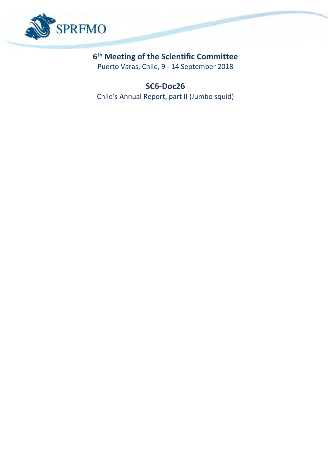

### **6 th Meeting of the Scientific Committee**

Puerto Varas, Chile, 9 - 14 September 2018

### **SC6-Doc26**

Chile's Annual Report, part II (Jumbo squid)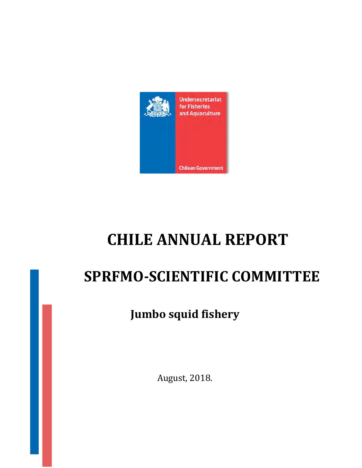

# **CHILE ANNUAL REPORT**

## **SPRFMO-SCIENTIFIC COMMITTEE**

## **Jumbo squid fishery**

August, 2018.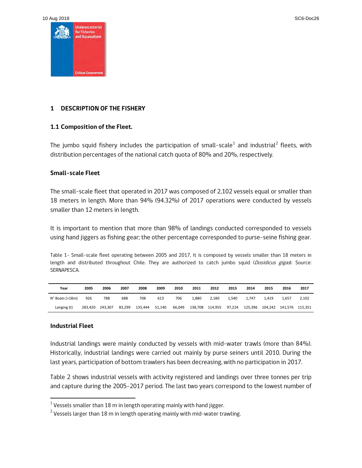10 Aug 2018 SC6-Doc26



#### **1 DESCRIPTION OF THE FISHERY**

#### **1.1 Composition of the Fleet.**

The jumbo squid fishery includes the participation of small-scale<sup>[1](#page-2-0)</sup> and industrial<sup>[2](#page-2-1)</sup> fleets, with distribution percentages of the national catch quota of 80% and 20%, respectively.

#### **Small-scale Fleet**

The small-scale fleet that operated in 2017 was composed of 2,102 vessels equal or smaller than 18 meters in length. More than 94% (94.32%) of 2017 operations were conducted by vessels smaller than 12 meters in length.

It is important to mention that more than 98% of landings conducted corresponded to vessels using hand jiggers as fishing gear; the other percentage corresponded to purse-seine fishing gear.

Table 1- Small-scale fleet operating between 2005 and 2017, It is composed by vessels smaller than 18 meters in length and distributed throughout Chile. They are authorized to catch jumbo squid (Dosidicus gigas). Source: SERNAPESCA.

| Year            | 2005    | 2006    | 2007   | 2008    | 2009   | 2010   | 2011    | 2012    | 2013   | 2014    | 2015                    | 2016  | 2017  |
|-----------------|---------|---------|--------|---------|--------|--------|---------|---------|--------|---------|-------------------------|-------|-------|
| N° Boats (>18m) | 926     | 788     | 688    | 708     | 613    | 706    | 1.880   | 2.180   | 1.540  | 1.747   | 1.419                   | 1.657 | 2.102 |
| Langing (t)     | 283.420 | 243.307 | 83.299 | 135.444 | 51.140 | 66.049 | 138,708 | 114,955 | 97.224 | 125.396 | 104.242 141.576 115.351 |       |       |

#### **Industrial Fleet**

**.** 

Industrial landings were mainly conducted by vessels with mid-water trawls (more than 84%). Historically, industrial landings were carried out mainly by purse seiners until 2010. During the last years, participation of bottom trawlers has been decreasing, with no participation in 2017.

Table 2 shows industrial vessels with activity registered and landings over three tonnes per trip and capture during the 2005-2017 period. The last two years correspond to the lowest number of

<span id="page-2-0"></span> $1$  Vessels smaller than 18 m in length operating mainly with hand jigger.

<span id="page-2-1"></span> $2$  Vessels larger than 18 m in length operating mainly with mid-water trawling.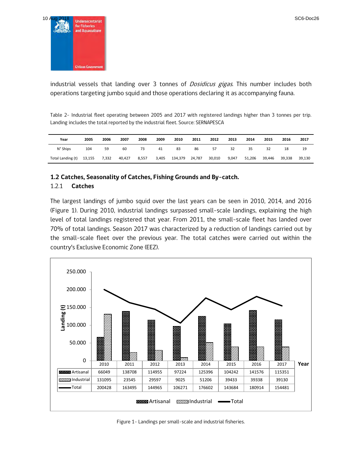

industrial vessels that landing over 3 tonnes of *Dosidicus gigas*. This number includes both operations targeting jumbo squid and those operations declaring it as accompanying fauna.

Table 2- Industrial fleet operating between 2005 and 2017 with registered landings higher than 3 tonnes per trip. Landing includes the total reported by the industrial fleet. Source: SERNAPESCA

| Year              | 2005   | 2006  | 2007   | 2008  | 2009  | 2010    | 2011   | 2012   | 2013  | 2014   | 2015   | 2016   | 2017   |
|-------------------|--------|-------|--------|-------|-------|---------|--------|--------|-------|--------|--------|--------|--------|
| N° Ships          | 104    | 59    | 60     | 73    | 41    | 83      | 86     | 57     | 32    | 35     | 32     | 18     | 19     |
| Total Landing (t) | 13,155 | 7.332 | 40.427 | 8,557 | 3,405 | 134,379 | 24,787 | 30,010 | 9.047 | 51,206 | 39.446 | 39.338 | 39.130 |

#### **1.2 Catches, Seasonality of Catches, Fishing Grounds and By-catch.**

#### 1.2.1 **Catches**

The largest landings of jumbo squid over the last years can be seen in 2010, 2014, and 2016 (Figure 1). During 2010, industrial landings surpassed small-scale landings, explaining the high level of total landings registered that year. From 2011, the small-scale fleet has landed over 70% of total landings. Season 2017 was characterized by a reduction of landings carried out by the small-scale fleet over the previous year. The total catches were carried out within the country's Exclusive Economic Zone (EEZ).



Figure 1- Landings per small-scale and industrial fisheries.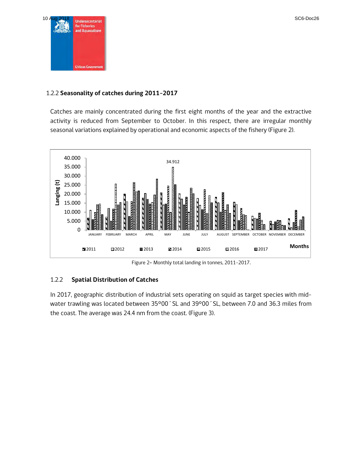

#### 1.2.2 **Seasonality of catches during 2011-2017**

Catches are mainly concentrated during the first eight months of the year and the extractive activity is reduced from September to October. In this respect, there are irregular monthly seasonal variations explained by operational and economic aspects of the fishery (Figure 2).



Figure 2**-** Monthly total landing in tonnes, 2011-2017.

#### 1.2.2 **Spatial Distribution of Catches**

In 2017, geographic distribution of industrial sets operating on squid as target species with midwater trawling was located between 35°00´SL and 39°00´SL, between 7.0 and 36.3 miles from the coast. The average was 24.4 nm from the coast. (Figure 3).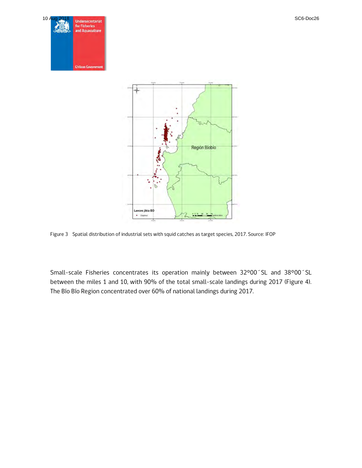



Figure 3 Spatial distribution of industrial sets with squid catches as target species, 2017. Source: IFOP

Small-scale Fisheries concentrates its operation mainly between 32°00´SL and 38°00´SL between the miles 1 and 10, with 90% of the total small-scale landings during 2017 (Figure 4). The Bío Bío Region concentrated over 60% of national landings during 2017.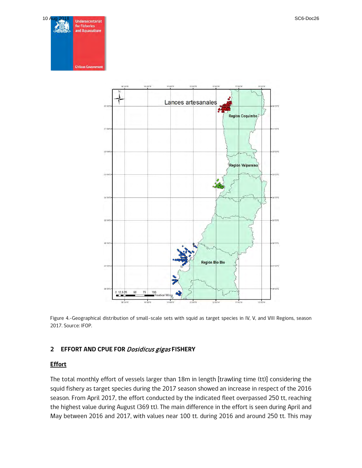



Figure 4.-Geographical distribution of small-scale sets with squid as target species in IV, V, and VIII Regions, season 2017. Source: IFOP.

#### **2 EFFORT AND CPUE FOR** Dosidicus gigas **FISHERY**

#### **Effort**

The total monthly effort of vessels larger than 18m in length [trawling time (tt)] considering the squid fishery as target species during the 2017 season showed an increase in respect of the 2016 season. From April 2017, the effort conducted by the indicated fleet overpassed 250 tt, reaching the highest value during August (369 tt). The main difference in the effort is seen during April and May between 2016 and 2017, with values near 100 tt. during 2016 and around 250 tt. This may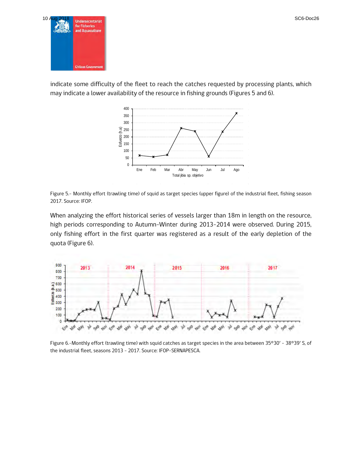

indicate some difficulty of the fleet to reach the catches requested by processing plants, which may indicate a lower availability of the resource in fishing grounds (Figures 5 and 6).



Figure 5.- Monthly effort (trawling time) of squid as target species (upper figure) of the industrial fleet, fishing season 2017. Source: IFOP.

When analyzing the effort historical series of vessels larger than 18m in length on the resource, high periods corresponding to Autumn-Winter during 2013-2014 were observed. During 2015, only fishing effort in the first quarter was registered as a result of the early depletion of the quota [\(Figure 6](#page-7-0)).



<span id="page-7-0"></span>Figure 6.-Monthly effort (trawling time) with squid catches as target species in the area between 35°30' – 38°39' S, of the industrial fleet, seasons 2013 - 2017. Source: IFOP-SERNAPESCA.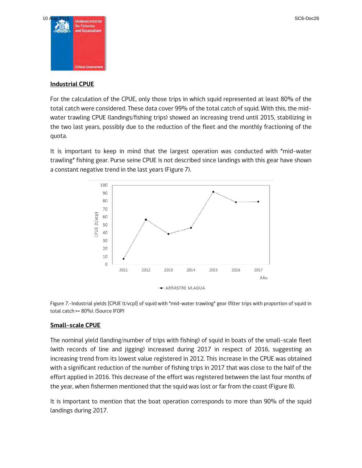

#### **Industrial CPUE**

For the calculation of the CPUE, only those trips in which squid represented at least 80% of the total catch were considered. These data cover 99% of the total catch of squid. With this, the midwater trawling CPUE (landings/fishing trips) showed an increasing trend until 2015, stabilizing in the two last years, possibly due to the reduction of the fleet and the monthly fractioning of the quota.

It is important to keep in mind that the largest operation was conducted with "mid-water trawling" fishing gear. Purse seine CPUE is not described since landings with this gear have shown a constant negative trend in the last years (Figure 7).



Figure 7.-Industrial yields [CPUE (t/vcp)] of squid with "mid-water trawling" gear (filter trips with proportion of squid in total catch >= 80%). (Source IFOP)

#### **Small-scale CPUE**

The nominal yield (landing/number of trips with fishing) of squid in boats of the small-scale fleet (with records of line and jigging) increased during 2017 in respect of 2016, suggesting an increasing trend from its lowest value registered in 2012. This increase in the CPUE was obtained with a significant reduction of the number of fishing trips in 2017 that was close to the half of the effort applied in 2016. This decrease of the effort was registered between the last four months of the year, when fishermen mentioned that the squid was lost or far from the coast (Figure 8).

It is important to mention that the boat operation corresponds to more than 90% of the squid landings during 2017.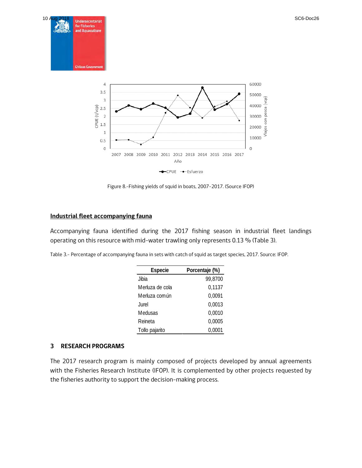





Figure 8.-Fishing yields of squid in boats, 2007-2017. (Source IFOP)

#### **Industrial fleet accompanying fauna**

Accompanying fauna identified during the 2017 fishing season in industrial fleet landings operating on this resource with mid-water trawling only represents 0.13 % (Table 3).

| Especie         | Porcentaje (%) |
|-----------------|----------------|
| Jibia           | 99,8700        |
| Merluza de cola | 0,1137         |
| Merluza común   | 0,0091         |
| Jurel           | 0,0013         |
| Medusas         | 0,0010         |
| Reineta         | 0,0005         |
| Tollo pajarito  | 0.0001         |

#### **3 RESEARCH PROGRAMS**

The 2017 research program is mainly composed of projects developed by annual agreements with the Fisheries Research Institute (IFOP). It is complemented by other projects requested by the fisheries authority to support the decision-making process.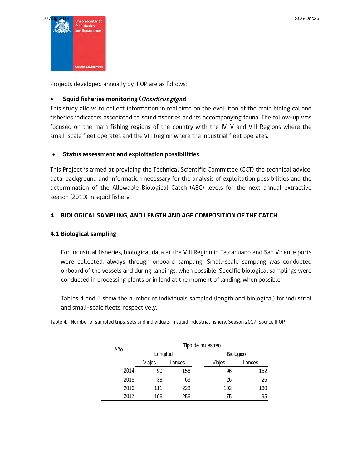

Projects developed annually by IFOP are as follows:

#### • **Squid fisheries monitoring (**Dosidicus gigas**)**

This study allows to collect information in real time on the evolution of the main biological and fisheries indicators associated to squid fisheries and its accompanying fauna. The follow-up was focused on the main fishing regions of the country with the IV, V and VIII Regions where the small-scale fleet operates and the VIII Region where the industrial fleet operates.

#### • **Status assessment and exploitation possibilities**

This Project is aimed at providing the Technical Scientific Committee (CCT) the technical advice, data, background and information necessary for the analysis of exploitation possibilities and the determination of the Allowable Biological Catch (ABC) levels for the next annual extractive season (2019) in squid fishery.

#### **4 BIOLOGICAL SAMPLING, AND LENGTH AND AGE COMPOSITION OF THE CATCH.**

#### **4.1 Biological sampling**

For industrial fisheries, biological data at the VIII Region in Talcahuano and San Vicente ports were collected, always through onboard sampling. Small-scale sampling was conducted onboard of the vessels and during landings, when possible. Specific biological samplings were conducted in processing plants or in land at the moment of landing, when possible.

Tables 4 and 5 show the number of individuals sampled (length and biological) for industrial and small-scale fleets, respectively.

Table 4.- Number of sampled trips, sets and individuals in squid industrial fishery. Season 2017. Source IFOP

| Año  | Tipo de muestreo |        |        |           |  |  |  |  |  |
|------|------------------|--------|--------|-----------|--|--|--|--|--|
|      | Longitud         |        |        | Biológico |  |  |  |  |  |
|      | Viajes           | Lances | Viajes | Lances    |  |  |  |  |  |
| 2014 | 90               | 156    | 96     | 152       |  |  |  |  |  |
| 2015 | 38               | 63     | 26     | 26        |  |  |  |  |  |
| 2016 | 111              | 223    | 102    | 130       |  |  |  |  |  |
| 2017 | 106              | 256    | 75     | 95        |  |  |  |  |  |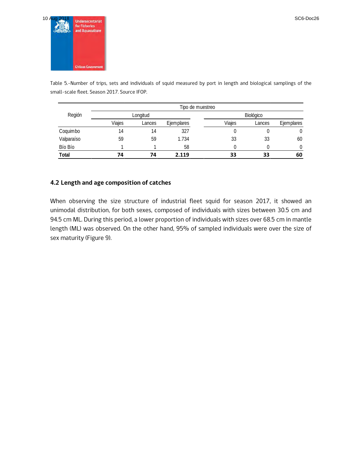

Table 5.-Number of trips, sets and individuals of squid measured by port in length and biological samplings of the small-scale fleet. Season 2017. Source IFOP.

|            | Tipo de muestreo |          |            |        |           |            |  |  |  |  |
|------------|------------------|----------|------------|--------|-----------|------------|--|--|--|--|
| Región     |                  | Longitud |            |        | Biológico |            |  |  |  |  |
|            | Viaies           | Lances   | Ejemplares | Viaies | Lances    | Ejemplares |  |  |  |  |
| Coquimbo   | 14               | 14       | 327        |        |           |            |  |  |  |  |
| Valparaíso | 59               | 59       | 1.734      | 33     | 33        | 60         |  |  |  |  |
| Bío Bío    |                  |          | 58         |        |           | N          |  |  |  |  |
| Total      | 74               | 74       | 2.119      | 33     | 33        | 60         |  |  |  |  |

#### **4.2 Length and age composition of catches**

When observing the size structure of industrial fleet squid for season 2017, it showed an unimodal distribution, for both sexes, composed of individuals with sizes between 30.5 cm and 94.5 cm ML. During this period, a lower proportion of individuals with sizes over 68.5 cm in mantle length (ML) was observed. On the other hand, 95% of sampled individuals were over the size of sex maturity (Figure 9).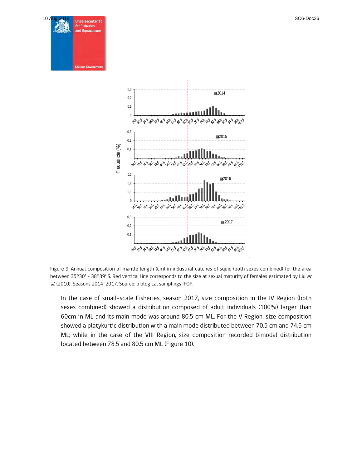

Figure 9-Annual composition of mantle length (cm) in industrial catches of squid (both sexes combined) for the area between 35°30' - 38°39' S. Red vertical line corresponds to the size at sexual maturity of females estimated by Liu et al. (2010). Seasons 2014-2017. Source: biological samplings IFOP.

In the case of small-scale Fisheries, season 2017, size composition in the IV Region (both sexes combined) showed a distribution composed of adult individuals (100%) larger than 60cm in ML and its main mode was around 80.5 cm ML. For the V Region, size composition showed a platykurtic distribution with a main mode distributed between 70.5 cm and 74.5 cm ML; while in the case of the VIII Region, size composition recorded bimodal distribution located between 78.5 and 80.5 cm ML (Figure 10).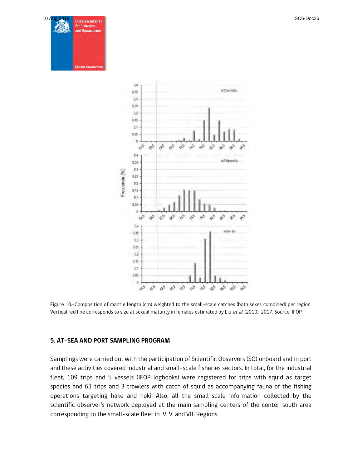



Figure 10.-Composition of mantle length (cm) weighted to the small-scale catches (both sexes combined) per region. Vertical red line corresponds to size at sexual maturity in females estimated by Liu et al. (2010), 2017. Source: IFOP

#### **5. AT-SEA AND PORT SAMPLING PROGRAM**

Samplings were carried out with the participation of Scientific Observers (SO) onboard and in port and these activities covered industrial and small-scale fisheries sectors. In total, for the industrial fleet, 109 trips and 5 vessels (IFOP logbooks) were registered for trips with squid as target species and 61 trips and 3 trawlers with catch of squid as accompanying fauna of the fishing operations targeting hake and hoki. Also, all the small-scale information collected by the scientific observer's network deployed at the main sampling centers of the center-south area corresponding to the small-scale fleet in IV, V, and VIII Regions.